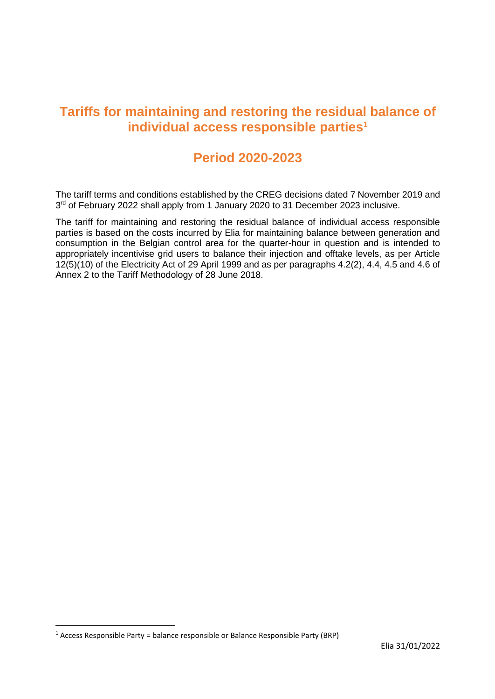## **Tariffs for maintaining and restoring the residual balance of individual access responsible parties<sup>1</sup>**

### **Period 2020-2023**

The tariff terms and conditions established by the CREG decisions dated 7 November 2019 and 3<sup>rd</sup> of February 2022 shall apply from 1 January 2020 to 31 December 2023 inclusive.

The tariff for maintaining and restoring the residual balance of individual access responsible parties is based on the costs incurred by Elia for maintaining balance between generation and consumption in the Belgian control area for the quarter-hour in question and is intended to appropriately incentivise grid users to balance their injection and offtake levels, as per Article 12(5)(10) of the Electricity Act of 29 April 1999 and as per paragraphs 4.2(2), 4.4, 4.5 and 4.6 of Annex 2 to the Tariff Methodology of 28 June 2018.

 $\overline{a}$ 

 $1$  Access Responsible Party = balance responsible or Balance Responsible Party (BRP)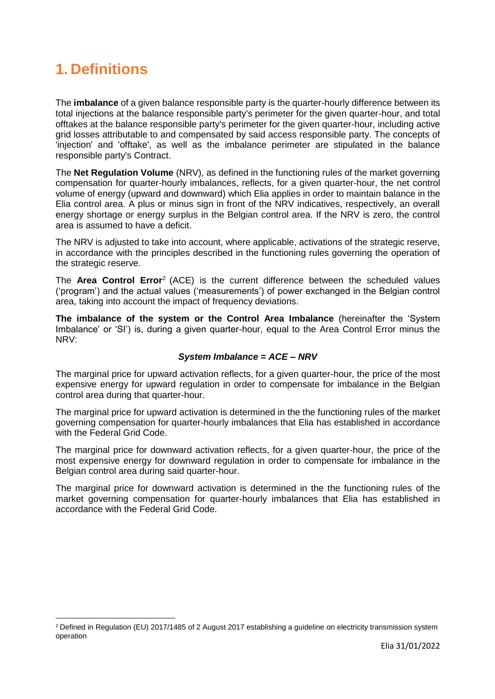# **1. Definitions**

 $\overline{a}$ 

The **imbalance** of a given balance responsible party is the quarter-hourly difference between its total injections at the balance responsible party's perimeter for the given quarter-hour, and total offtakes at the balance responsible party's perimeter for the given quarter-hour, including active grid losses attributable to and compensated by said access responsible party. The concepts of 'injection' and 'offtake', as well as the imbalance perimeter are stipulated in the balance responsible party's Contract.

The **Net Regulation Volume** (NRV), as defined in the functioning rules of the market governing compensation for quarter-hourly imbalances, reflects, for a given quarter-hour, the net control volume of energy (upward and downward) which Elia applies in order to maintain balance in the Elia control area. A plus or minus sign in front of the NRV indicatives, respectively, an overall energy shortage or energy surplus in the Belgian control area. If the NRV is zero, the control area is assumed to have a deficit.

The NRV is adjusted to take into account, where applicable, activations of the strategic reserve, in accordance with the principles described in the functioning rules governing the operation of the strategic reserve.

The **Area Control Error**<sup>2</sup> (ACE) is the current difference between the scheduled values ('program') and the actual values ('measurements') of power exchanged in the Belgian control area, taking into account the impact of frequency deviations.

**The imbalance of the system or the Control Area Imbalance** (hereinafter the 'System Imbalance' or 'SI') is, during a given quarter-hour, equal to the Area Control Error minus the NRV:

### *System Imbalance = ACE – NRV*

The marginal price for upward activation reflects, for a given quarter-hour, the price of the most expensive energy for upward regulation in order to compensate for imbalance in the Belgian control area during that quarter-hour.

The marginal price for upward activation is determined in the the functioning rules of the market governing compensation for quarter-hourly imbalances that Elia has established in accordance with the Federal Grid Code.

The marginal price for downward activation reflects, for a given quarter-hour, the price of the most expensive energy for downward regulation in order to compensate for imbalance in the Belgian control area during said quarter-hour.

The marginal price for downward activation is determined in the the functioning rules of the market governing compensation for quarter-hourly imbalances that Elia has established in accordance with the Federal Grid Code.

<sup>&</sup>lt;sup>2</sup> Defined in Regulation (EU) 2017/1485 of 2 August 2017 establishing a guideline on electricity transmission system operation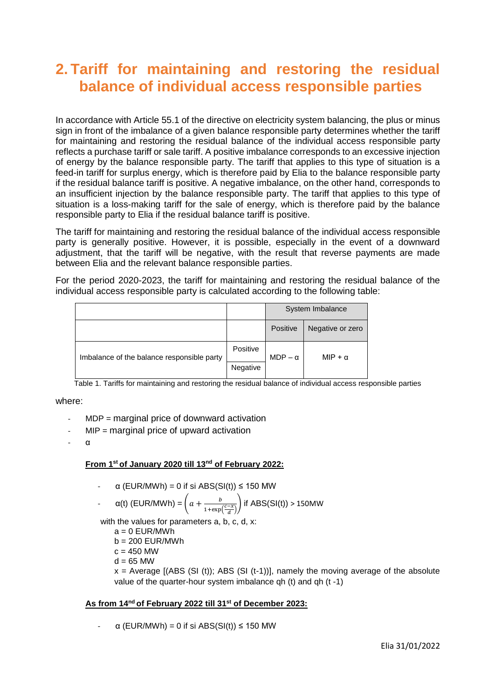## **2. Tariff for maintaining and restoring the residual balance of individual access responsible parties**

In accordance with Article 55.1 of the directive on electricity system balancing, the plus or minus sign in front of the imbalance of a given balance responsible party determines whether the tariff for maintaining and restoring the residual balance of the individual access responsible party reflects a purchase tariff or sale tariff. A positive imbalance corresponds to an excessive injection of energy by the balance responsible party. The tariff that applies to this type of situation is a feed-in tariff for surplus energy, which is therefore paid by Elia to the balance responsible party if the residual balance tariff is positive. A negative imbalance, on the other hand, corresponds to an insufficient injection by the balance responsible party. The tariff that applies to this type of situation is a loss-making tariff for the sale of energy, which is therefore paid by the balance responsible party to Elia if the residual balance tariff is positive.

The tariff for maintaining and restoring the residual balance of the individual access responsible party is generally positive. However, it is possible, especially in the event of a downward adjustment, that the tariff will be negative, with the result that reverse payments are made between Elia and the relevant balance responsible parties.

For the period 2020-2023, the tariff for maintaining and restoring the residual balance of the individual access responsible party is calculated according to the following table:

|                                            |          | System Imbalance |                  |
|--------------------------------------------|----------|------------------|------------------|
|                                            |          | Positive         | Negative or zero |
| Imbalance of the balance responsible party | Positive | $MDP - \alpha$   | MIP + $\alpha$   |
|                                            | Negative |                  |                  |

Table 1. Tariffs for maintaining and restoring the residual balance of individual access responsible parties

#### where:

- $MDP =$  marginal price of downward activation
- $MIP$  = marginal price of upward activation
- $\alpha$

#### **From 1st of January 2020 till 13nd of February 2022:**

 $\alpha$  (EUR/MWh) = 0 if si ABS(SI(t)) ≤ 150 MW

- 
$$
\alpha(t)
$$
 (EUR/MWh) =  $\left(a + \frac{b}{1 + \exp\left(\frac{c - x}{d}\right)}\right)$  if ABS(SI(t)) > 150MW

with the values for parameters a, b, c, d, x:

- $a = 0$  EUR/MWh
- $b = 200$  EUR/MWh
- $c = 450$  MW
- $d = 65$  MW

 $x =$  Average  $[(ABS (SI (t)); ABS (SI (t-1))],$  namely the moving average of the absolute value of the quarter-hour system imbalance qh (t) and qh (t -1)

### **As from 14nd of February 2022 till 31st of December 2023:**

 $\alpha$  (EUR/MWh) = 0 if si ABS(SI(t))  $\leq$  150 MW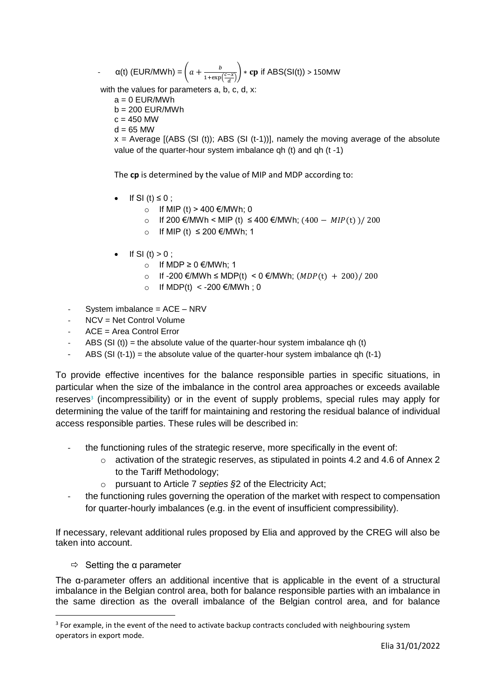$-\alpha(t)$  (EUR/MWh) =  $\left(a + \frac{b}{1 + \alpha t}\right)$  $\frac{b}{1+\exp(\frac{c-x}{d})}$  \* cp if ABS(SI(t)) > 150MW

with the values for parameters a, b, c, d, x:

- $a = 0$  EUR/MWh
- $b = 200$  EUR/MWh
- $c = 450$  MW
- $d = 65$  MW

 $x =$  Average [(ABS (SI (t)); ABS (SI (t-1))], namely the moving average of the absolute value of the quarter-hour system imbalance qh (t) and qh (t -1)

The **cp** is determined by the value of MIP and MDP according to:

- If SI (t)  $\leq$  0 ;
	- o If MIP (t) > 400 €/MWh; 0
	- o If 200 €/MWh < MIP (t)  $\leq$  400 €/MWh; (400 MIP(t))/ 200
	- o If MIP (t) ≤ 200 €/MWh; 1
- If SI  $(t) > 0$ ;
	- o If MDP ≥ 0 €/MWh; 1
	- o If -200 €/MWh ≤ MDP(t) < 0 €/MWh;  $(MDP(t) + 200)/200$
	- o If MDP(t) < -200 €/MWh; 0
- System imbalance = ACE NRV
- NCV = Net Control Volume
- ACE = Area Control Error
- ABS (SI (t)) = the absolute value of the quarter-hour system imbalance qh (t)
- ABS  $(SI (t-1))$  = the absolute value of the quarter-hour system imbalance qh  $(t-1)$

To provide effective incentives for the balance responsible parties in specific situations, in particular when the size of the imbalance in the control area approaches or exceeds available reserves<sup>3</sup> (incompressibility) or in the event of supply problems, special rules may apply for determining the value of the tariff for maintaining and restoring the residual balance of individual access responsible parties. These rules will be described in:

- the functioning rules of the strategic reserve, more specifically in the event of:
	- $\circ$  activation of the strategic reserves, as stipulated in points 4.2 and 4.6 of Annex 2 to the Tariff Methodology;
	- o pursuant to Article 7 *septies §*2 of the Electricity Act;
- the functioning rules governing the operation of the market with respect to compensation for quarter-hourly imbalances (e.g. in the event of insufficient compressibility).

If necessary, relevant additional rules proposed by Elia and approved by the CREG will also be taken into account.

 $\Rightarrow$  Setting the a parameter

1

The α-parameter offers an additional incentive that is applicable in the event of a structural imbalance in the Belgian control area, both for balance responsible parties with an imbalance in the same direction as the overall imbalance of the Belgian control area, and for balance

 $3$  For example, in the event of the need to activate backup contracts concluded with neighbouring system operators in export mode.